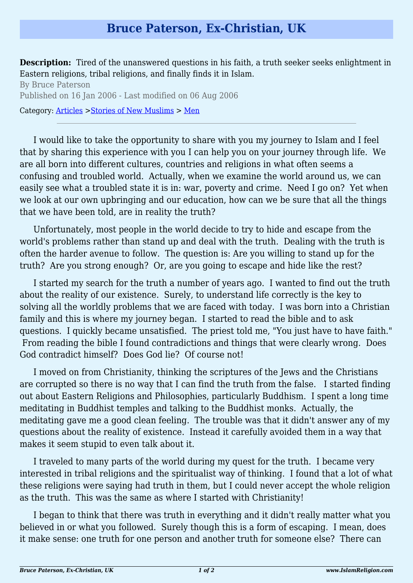## **Bruce Paterson, Ex-Christian, UK**

**Description:** Tired of the unanswered questions in his faith, a truth seeker seeks enlightment in Eastern religions, tribal religions, and finally finds it in Islam.

By Bruce Paterson Published on 16 Jan 2006 - Last modified on 06 Aug 2006 Category: [Articles](http://www.islamreligion.com/articles/) >[Stories of New Muslims](http://www.islamreligion.com/category/63/) > [Men](http://www.islamreligion.com/category/64/)

I would like to take the opportunity to share with you my journey to Islam and I feel that by sharing this experience with you I can help you on your journey through life. We are all born into different cultures, countries and religions in what often seems a confusing and troubled world. Actually, when we examine the world around us, we can easily see what a troubled state it is in: war, poverty and crime. Need I go on? Yet when we look at our own upbringing and our education, how can we be sure that all the things that we have been told, are in reality the truth?

Unfortunately, most people in the world decide to try to hide and escape from the world's problems rather than stand up and deal with the truth. Dealing with the truth is often the harder avenue to follow. The question is: Are you willing to stand up for the truth? Are you strong enough? Or, are you going to escape and hide like the rest?

I started my search for the truth a number of years ago. I wanted to find out the truth about the reality of our existence. Surely, to understand life correctly is the key to solving all the worldly problems that we are faced with today. I was born into a Christian family and this is where my journey began. I started to read the bible and to ask questions. I quickly became unsatisfied. The priest told me, "You just have to have faith." From reading the bible I found contradictions and things that were clearly wrong. Does God contradict himself? Does God lie? Of course not!

I moved on from Christianity, thinking the scriptures of the Jews and the Christians are corrupted so there is no way that I can find the truth from the false. I started finding out about Eastern Religions and Philosophies, particularly Buddhism. I spent a long time meditating in Buddhist temples and talking to the Buddhist monks. Actually, the meditating gave me a good clean feeling. The trouble was that it didn't answer any of my questions about the reality of existence. Instead it carefully avoided them in a way that makes it seem stupid to even talk about it.

I traveled to many parts of the world during my quest for the truth. I became very interested in tribal religions and the spiritualist way of thinking. I found that a lot of what these religions were saying had truth in them, but I could never accept the whole religion as the truth. This was the same as where I started with Christianity!

I began to think that there was truth in everything and it didn't really matter what you believed in or what you followed. Surely though this is a form of escaping. I mean, does it make sense: one truth for one person and another truth for someone else? There can